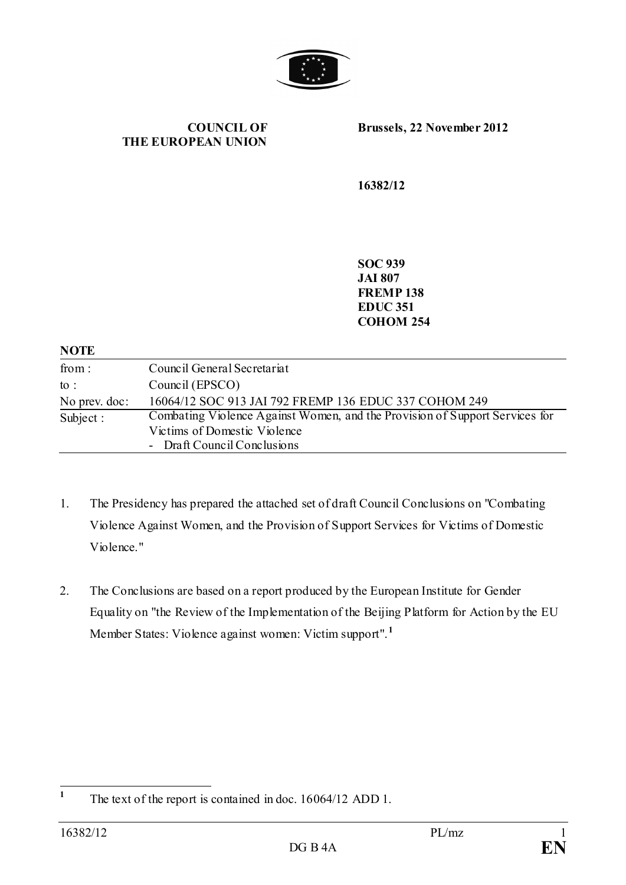

**COUNCIL OF THE EUROPEAN UNION** **Brussels, 22 November 2012**

**16382/12**

**SOC 939 JAI 807 FREMP 138 EDUC 351 COHOM 254**

#### **NOTE**

| from:           | Council General Secretariat                                                 |
|-----------------|-----------------------------------------------------------------------------|
| $\mathrm{to}$ : | Council (EPSCO)                                                             |
| No prev. doc:   | 16064/12 SOC 913 JAI 792 FREMP 136 EDUC 337 COHOM 249                       |
| Subject :       | Combating Violence Against Women, and the Provision of Support Services for |
|                 | Victims of Domestic Violence                                                |
|                 | - Draft Council Conclusions                                                 |

- 1. The Presidency has prepared the attached set of draft Council Conclusions on "Combating Violence Against Women, and the Provision of Support Services for Victims of Domestic Violence."
- 2. The Conclusions are based on a report produced by the European Institute for Gender Equality on "the Review of the Implementation of the Beijing Platform for Action by the EU Member States: Violence against women: Victim support".**[1](#page-0-0)**

<span id="page-0-0"></span><sup>&</sup>lt;sup>1</sup> The text of the report is contained in doc. 16064/12 ADD 1.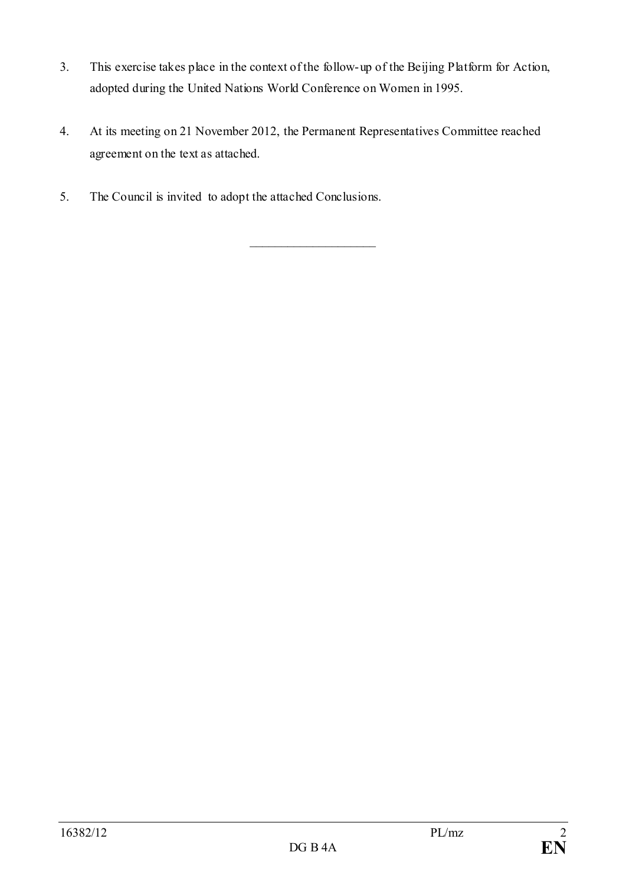- 3. This exercise takes place in the context of the follow-up of the Beijing Platform for Action, adopted during the United Nations World Conference on Women in 1995.
- 4. At its meeting on 21 November 2012, the Permanent Representatives Committee reached agreement on the text as attached.

\_\_\_\_\_\_\_\_\_\_\_\_\_\_\_\_\_\_\_\_

5. The Council is invited to adopt the attached Conclusions.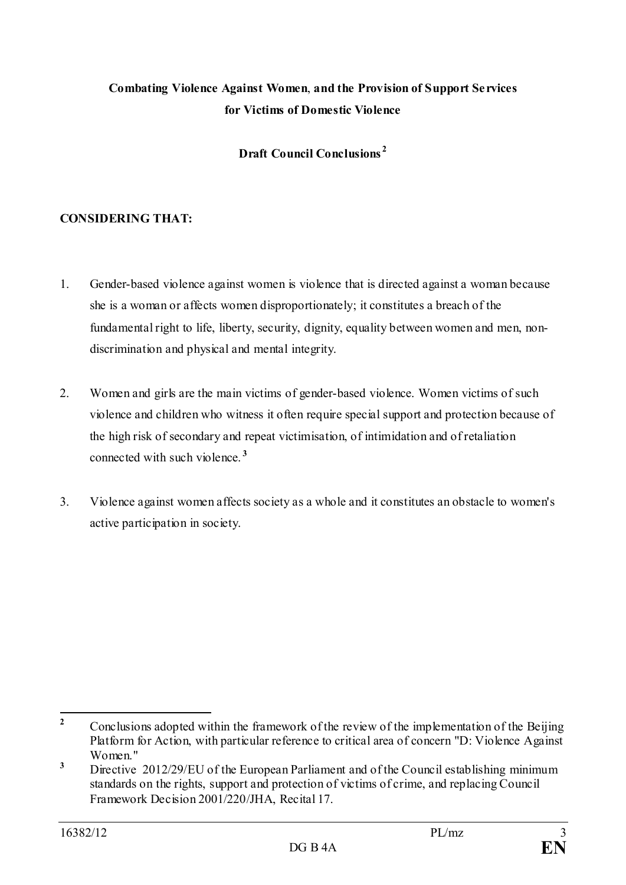# **Combating Violence Against Women**, **and the Provision of Support Services for Victims of Domestic Violence**

# **Draft Council Conclusions [2](#page-2-0)**

# **CONSIDERING THAT:**

- 1. Gender-based violence against women is violence that is directed against a woman because she is a woman or affects women disproportionately; it constitutes a breach of the fundamental right to life, liberty, security, dignity, equality between women and men, nondiscrimination and physical and mental integrity.
- 2. Women and girls are the main victims of gender-based violence. Women victims of such violence and children who witness it often require special support and protection because of the high risk of secondary and repeat victimisation, of intimidation and of retaliation connected with such violence. **[3](#page-2-1)**
- 3. Violence against women affects society as a whole and it constitutes an obstacle to women's active participation in society.

<span id="page-2-0"></span><sup>&</sup>lt;sup>2</sup> Conclusions adopted within the framework of the review of the implementation of the Beijing Platform for Action, with particular reference to critical area of concern "D: Violence Against Women"

<span id="page-2-1"></span><sup>&</sup>lt;sup>3</sup> Directive 2012/29/EU of the European Parliament and of the Council establishing minimum standards on the rights, support and protection of victims of crime, and replacing Council Framework Decision 2001/220/JHA, Recital 17.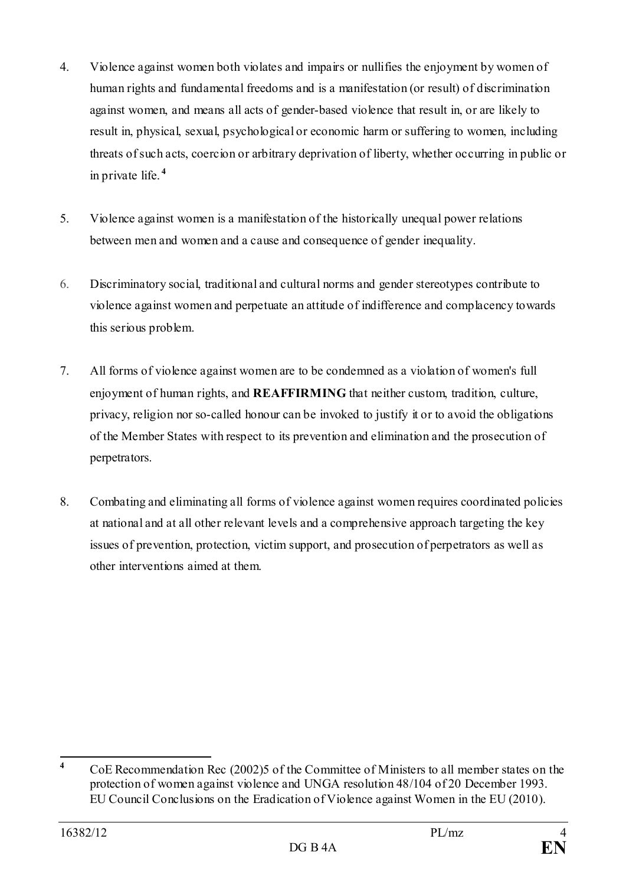- 4. Violence against women both violates and impairs or nullifies the enjoyment by women of human rights and fundamental freedoms and is a manifestation (or result) of discrimination against women, and means all acts of gender-based violence that result in, or are likely to result in, physical, sexual, psychological or economic harm or suffering to women, including threats of such acts, coercion or arbitrary deprivation of liberty, whether occurring in public or in private life. **[4](#page-3-0)**
- 5. Violence against women is a manifestation of the historically unequal power relations between men and women and a cause and consequence of gender inequality.
- 6. Discriminatory social, traditional and cultural norms and gender stereotypes contribute to violence against women and perpetuate an attitude of indifference and complacency towards this serious problem.
- 7. All forms of violence against women are to be condemned as a violation of women's full enjoyment of human rights, and **REAFFIRMING** that neither custom, tradition, culture, privacy, religion nor so-called honour can be invoked to justify it or to avoid the obligations of the Member States with respect to its prevention and elimination and the prosecution of perpetrators.
- 8. Combating and eliminating all forms of violence against women requires coordinated policies at national and at all other relevant levels and a comprehensive approach targeting the key issues of prevention, protection, victim support, and prosecution of perpetrators as well as other interventions aimed at them.

<span id="page-3-0"></span>**<sup>4</sup>** CoE Recommendation Rec (2002)5 of the Committee of Ministers to all member states on the protection of women against violence and UNGA resolution 48/104 of 20 December 1993. EU Council Conclusions on the Eradication of Violence against Women in the EU (2010).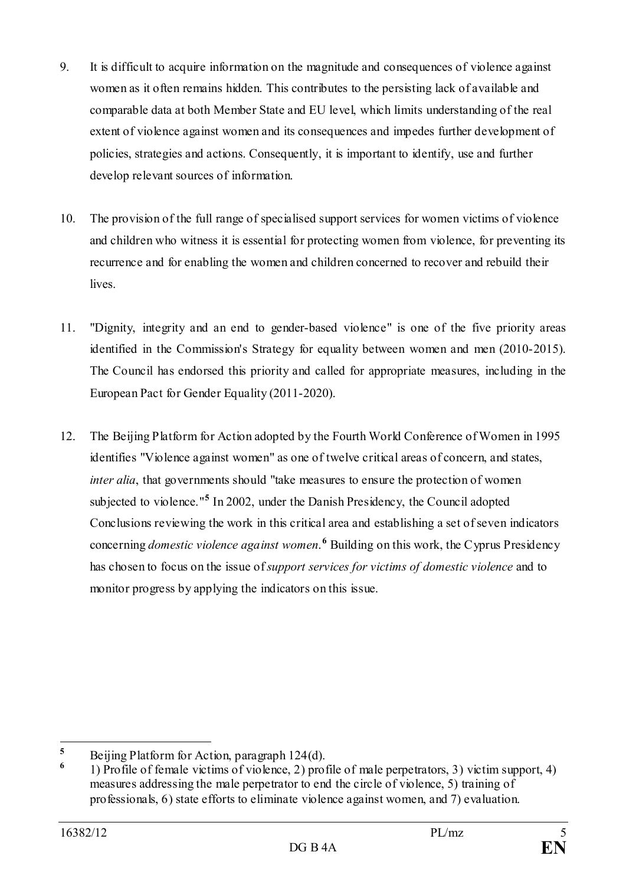- 9. It is difficult to acquire information on the magnitude and consequences of violence against women as it often remains hidden. This contributes to the persisting lack of available and comparable data at both Member State and EU level, which limits understanding of the real extent of violence against women and its consequences and impedes further development of policies, strategies and actions. Consequently, it is important to identify, use and further develop relevant sources of information.
- 10. The provision of the full range of specialised support services for women victims of violence and children who witness it is essential for protecting women from violence, for preventing its recurrence and for enabling the women and children concerned to recover and rebuild their lives.
- 11. "Dignity, integrity and an end to gender-based violence" is one of the five priority areas identified in the Commission's Strategy for equality between women and men (2010-2015). The Council has endorsed this priority and called for appropriate measures, including in the European Pact for Gender Equality (2011-2020).
- 12. The Beijing Platform for Action adopted by the Fourth World Conference of Women in 1995 identifies "Violence against women" as one of twelve critical areas of concern, and states, *inter alia*, that governments should "take measures to ensure the protection of women subjected to violence."**[5](#page-4-0)** In 2002, under the Danish Presidency, the Council adopted Conclusions reviewing the work in this critical area and establishing a set of seven indicators concerning *domestic violence against women*. **[6](#page-4-1)** Building on this work, the Cyprus Presidency has chosen to focus on the issue of *support services for victims of domestic violence* and to monitor progress by applying the indicators on this issue.

<span id="page-4-0"></span>**<sup>5</sup>** Beijing Platform for Action, paragraph  $124(d)$ .

<span id="page-4-1"></span>**<sup>6</sup>** 1) Profile of female victims of violence, 2) profile of male perpetrators, 3) victim support, 4) measures addressing the male perpetrator to end the circle of violence, 5) training of professionals, 6) state efforts to eliminate violence against women, and 7) evaluation.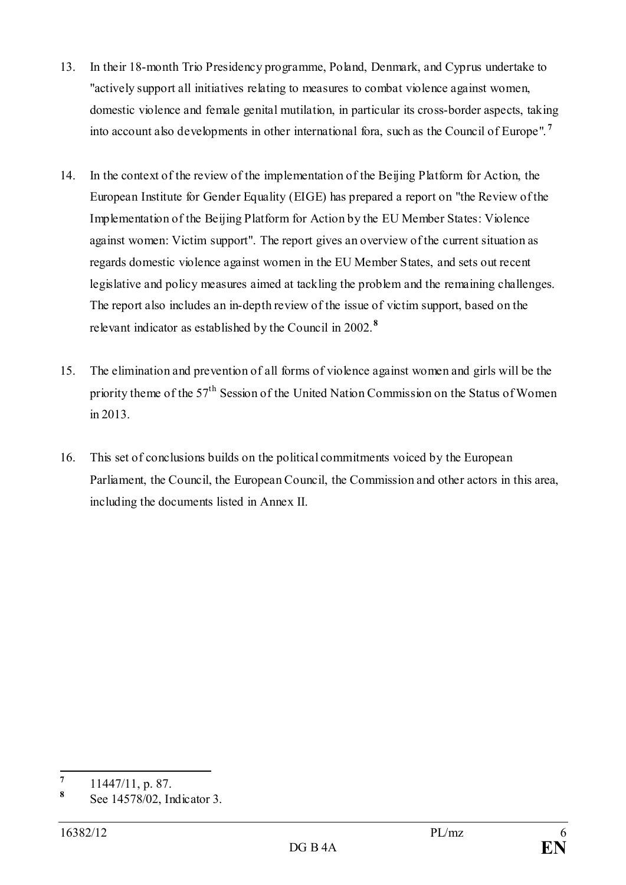- 13. In their 18-month Trio Presidency programme, Poland, Denmark, and Cyprus undertake to "actively support all initiatives relating to measures to combat violence against women, domestic violence and female genital mutilation, in particular its cross-border aspects, taking into account also developments in other international fora, such as the Council of Europe". **[7](#page-5-0)**
- 14. In the context of the review of the implementation of the Beijing Platform for Action, the European Institute for Gender Equality (EIGE) has prepared a report on "the Review of the Implementation of the Beijing Platform for Action by the EU Member States: Violence against women: Victim support". The report gives an overview of the current situation as regards domestic violence against women in the EU Member States, and sets out recent legislative and policy measures aimed at tackling the problem and the remaining challenges. The report also includes an in-depth review of the issue of victim support, based on the relevant indicator as established by the Council in 2002. **[8](#page-5-1)**
- 15. The elimination and prevention of all forms of violence against women and girls will be the priority theme of the 57<sup>th</sup> Session of the United Nation Commission on the Status of Women in 2013.
- 16. This set of conclusions builds on the political commitments voiced by the European Parliament, the Council, the European Council, the Commission and other actors in this area, including the documents listed in Annex II.

<span id="page-5-0"></span> $\frac{7}{8}$  11447/11, p. 87.

<span id="page-5-1"></span>**<sup>8</sup>** See 14578/02, Indicator 3.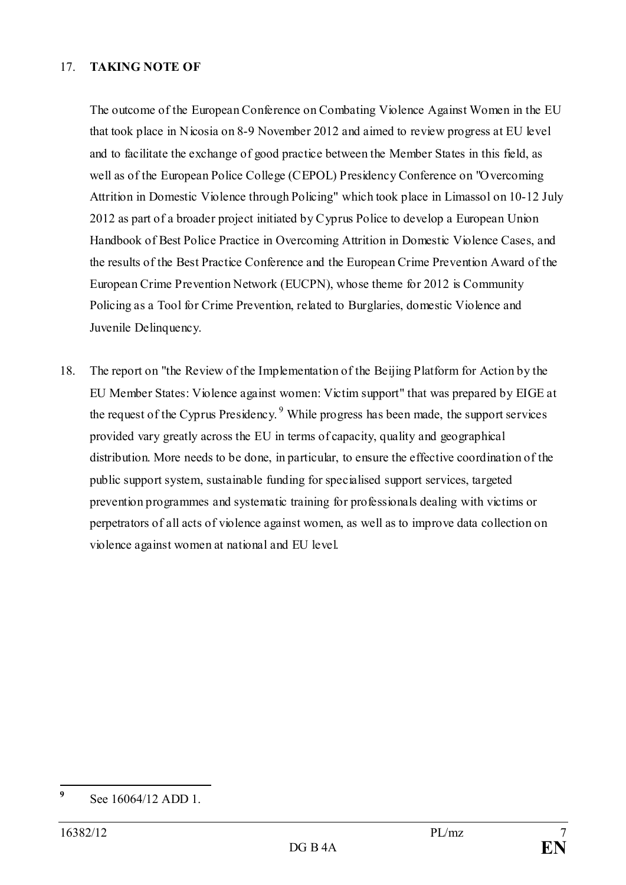### 17. **TAKING NOTE OF**

The outcome of the European Conference on Combating Violence Against Women in the EU that took place in Nicosia on 8-9 November 2012 and aimed to review progress at EU level and to facilitate the exchange of good practice between the Member States in this field, as well as of the European Police College (CEPOL) Presidency Conference on "Overcoming Attrition in Domestic Violence through Policing" which took place in Limassol on 10-12 July 2012 as part of a broader project initiated by Cyprus Police to develop a European Union Handbook of Best Police Practice in Overcoming Attrition in Domestic Violence Cases, and the results of the Best Practice Conference and the European Crime Prevention Award of the European Crime Prevention Network (EUCPN), whose theme for 2012 is Community Policing as a Tool for Crime Prevention, related to Burglaries, domestic Violence and Juvenile Delinquency.

18. The report on "the Review of the Implementation of the Beijing Platform for Action by the EU Member States: Violence against women: Victim support" that was prepared by EIGE at the request of the Cyprus Presidency.<sup>[9](#page-6-0)</sup> While progress has been made, the support services provided vary greatly across the EU in terms of capacity, quality and geographical distribution. More needs to be done, in particular, to ensure the effective coordination of the public support system, sustainable funding for specialised support services, targeted prevention programmes and systematic training for professionals dealing with victims or perpetrators of all acts of violence against women, as well as to improve data collection on violence against women at national and EU level.

<span id="page-6-0"></span>**<sup>9</sup>** See 16064/12 ADD 1.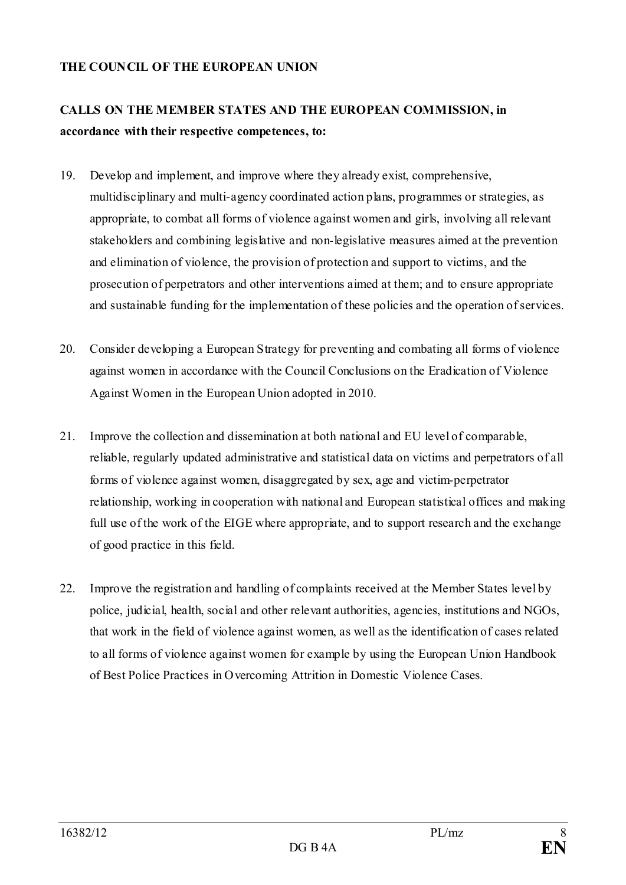### **THE COUNCIL OF THE EUROPEAN UNION**

# **CALLS ON THE MEMBER STATES AND THE EUROPEAN COMMISSION, in accordance with their respective competences, to:**

- 19. Develop and implement, and improve where they already exist, comprehensive, multidisciplinary and multi-agency coordinated action plans, programmes or strategies, as appropriate, to combat all forms of violence against women and girls, involving all relevant stakeholders and combining legislative and non-legislative measures aimed at the prevention and elimination of violence, the provision of protection and support to victims, and the prosecution of perpetrators and other interventions aimed at them; and to ensure appropriate and sustainable funding for the implementation of these policies and the operation of services.
- 20. Consider developing a European Strategy for preventing and combating all forms of violence against women in accordance with the Council Conclusions on the Eradication of Violence Against Women in the European Union adopted in 2010.
- 21. Improve the collection and dissemination at both national and EU level of comparable, reliable, regularly updated administrative and statistical data on victims and perpetrators of all forms of violence against women, disaggregated by sex, age and victim-perpetrator relationship, working in cooperation with national and European statistical offices and making full use of the work of the EIGE where appropriate, and to support research and the exchange of good practice in this field.
- 22. Improve the registration and handling of complaints received at the Member States level by police, judicial, health, social and other relevant authorities, agencies, institutions and NGOs, that work in the field of violence against women, as well as the identification of cases related to all forms of violence against women for example by using the European Union Handbook of Best Police Practices in Overcoming Attrition in Domestic Violence Cases.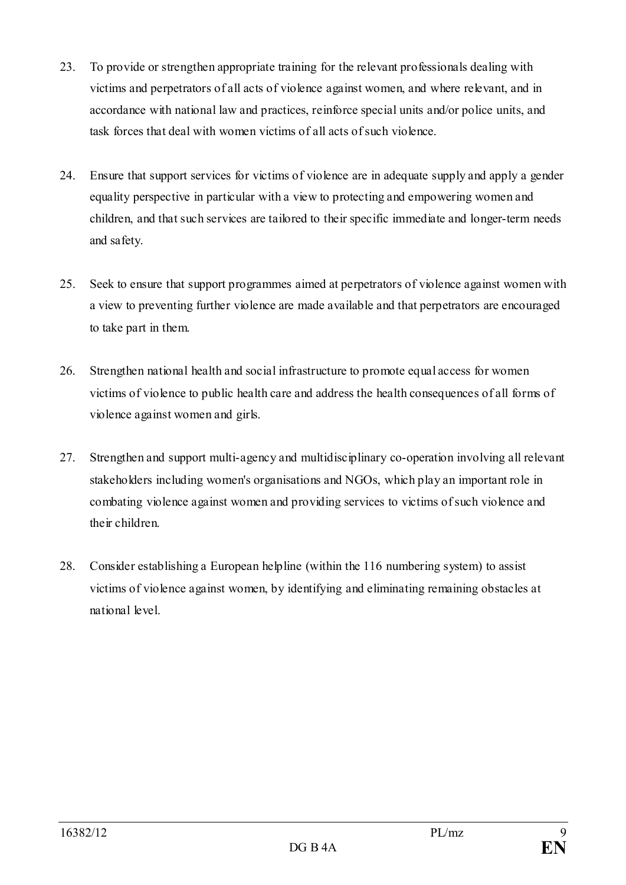- 23. To provide or strengthen appropriate training for the relevant professionals dealing with victims and perpetrators of all acts of violence against women, and where relevant, and in accordance with national law and practices, reinforce special units and/or police units, and task forces that deal with women victims of all acts of such violence.
- 24. Ensure that support services for victims of violence are in adequate supply and apply a gender equality perspective in particular with a view to protecting and empowering women and children, and that such services are tailored to their specific immediate and longer-term needs and safety.
- 25. Seek to ensure that support programmes aimed at perpetrators of violence against women with a view to preventing further violence are made available and that perpetrators are encouraged to take part in them.
- 26. Strengthen national health and social infrastructure to promote equal access for women victims of violence to public health care and address the health consequences of all forms of violence against women and girls.
- 27. Strengthen and support multi-agency and multidisciplinary co-operation involving all relevant stakeholders including women's organisations and NGOs, which play an important role in combating violence against women and providing services to victims of such violence and their children.
- 28. Consider establishing a European helpline (within the 116 numbering system) to assist victims of violence against women, by identifying and eliminating remaining obstacles at national level.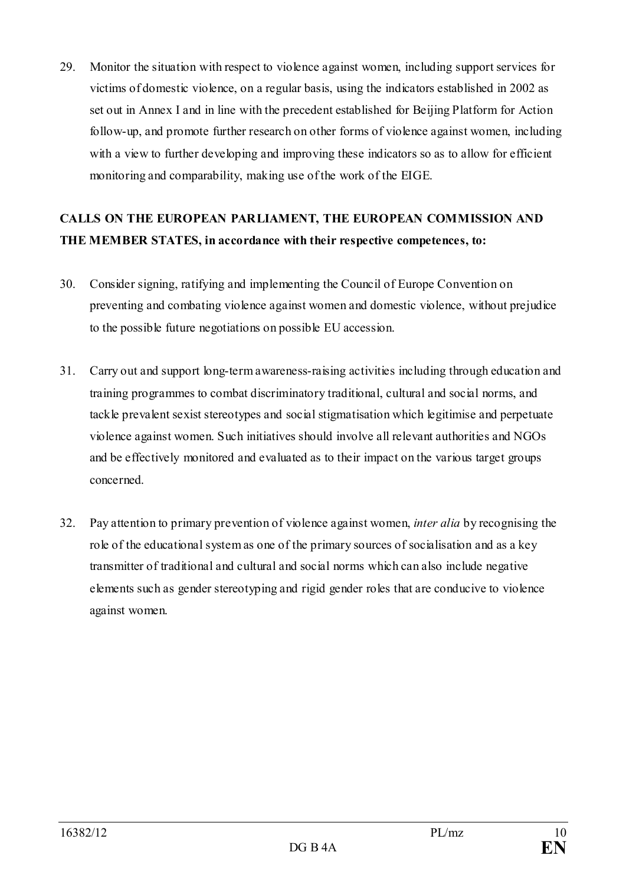29. Monitor the situation with respect to violence against women, including support services for victims of domestic violence, on a regular basis, using the indicators established in 2002 as set out in Annex I and in line with the precedent established for Beijing Platform for Action follow-up, and promote further research on other forms of violence against women, including with a view to further developing and improving these indicators so as to allow for efficient monitoring and comparability, making use of the work of the EIGE.

# **CALLS ON THE EUROPEAN PARLIAMENT, THE EUROPEAN COMMISSION AND THE MEMBER STATES, in accordance with their respective competences, to:**

- 30. Consider signing, ratifying and implementing the Council of Europe Convention on preventing and combating violence against women and domestic violence, without prejudice to the possible future negotiations on possible EU accession.
- 31. Carry out and support long-term awareness-raising activities including through education and training programmes to combat discriminatory traditional, cultural and social norms, and tackle prevalent sexist stereotypes and social stigmatisation which legitimise and perpetuate violence against women. Such initiatives should involve all relevant authorities and NGOs and be effectively monitored and evaluated as to their impact on the various target groups concerned.
- 32. Pay attention to primary prevention of violence against women, *inter alia* by recognising the role of the educational system as one of the primary sources of socialisation and as a key transmitter of traditional and cultural and social norms which can also include negative elements such as gender stereotyping and rigid gender roles that are conducive to violence against women.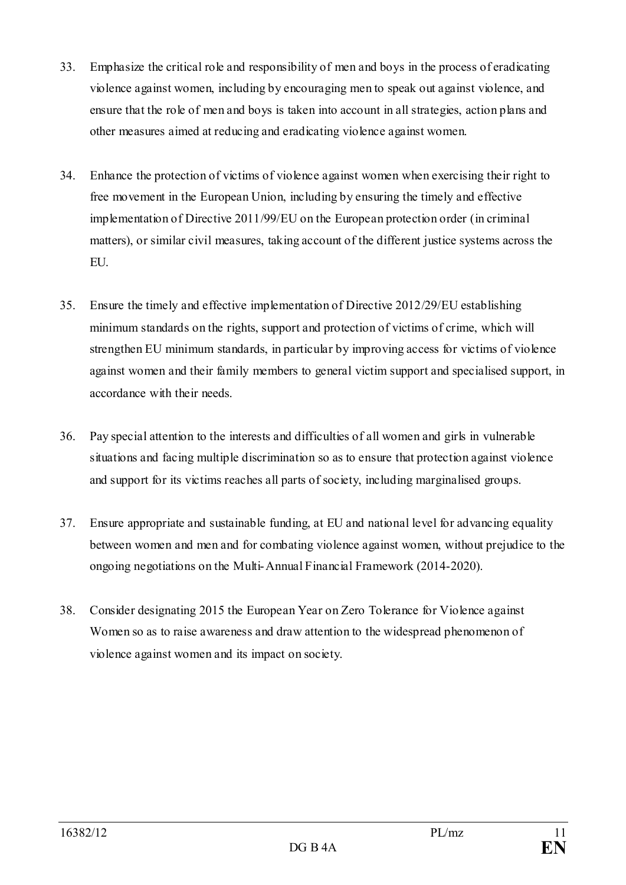- 33. Emphasize the critical role and responsibility of men and boys in the process of eradicating violence against women, including by encouraging men to speak out against violence, and ensure that the role of men and boys is taken into account in all strategies, action plans and other measures aimed at reducing and eradicating violence against women.
- 34. Enhance the protection of victims of violence against women when exercising their right to free movement in the European Union, including by ensuring the timely and effective implementation of Directive 2011/99/EU on the European protection order (in criminal matters), or similar civil measures, taking account of the different justice systems across the EU.
- 35. Ensure the timely and effective implementation of Directive 2012/29/EU establishing minimum standards on the rights, support and protection of victims of crime, which will strengthen EU minimum standards, in particular by improving access for victims of violence against women and their family members to general victim support and specialised support, in accordance with their needs.
- 36. Pay special attention to the interests and difficulties of all women and girls in vulnerable situations and facing multiple discrimination so as to ensure that protection against violence and support for its victims reaches all parts of society, including marginalised groups.
- 37. Ensure appropriate and sustainable funding, at EU and national level for advancing equality between women and men and for combating violence against women, without prejudice to the ongoing negotiations on the Multi-Annual Financial Framework (2014-2020).
- 38. Consider designating 2015 the European Year on Zero Tolerance for Violence against Women so as to raise awareness and draw attention to the widespread phenomenon of violence against women and its impact on society.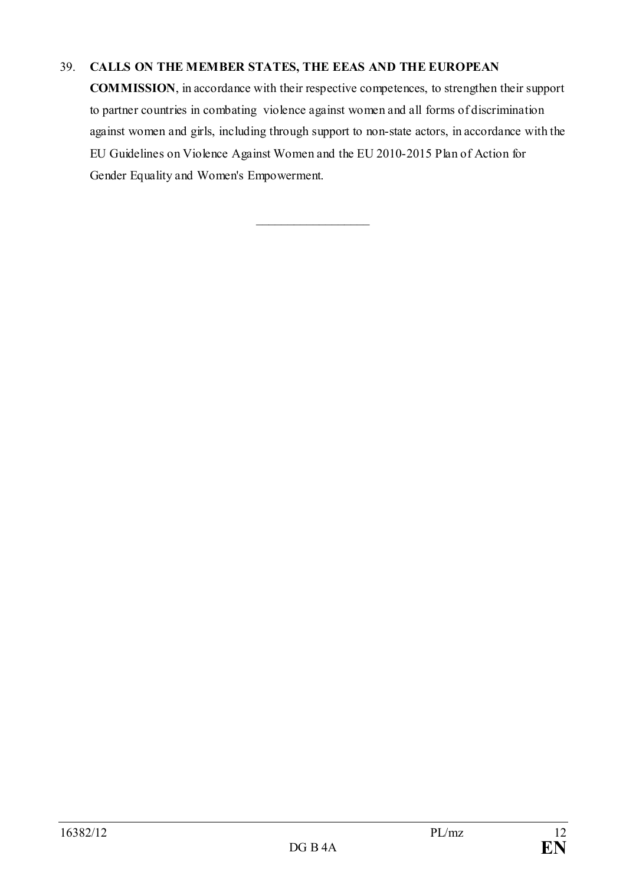# 39. **CALLS ON THE MEMBER STATES, THE EEAS AND THE EUROPEAN**

**COMMISSION**, in accordance with their respective competences, to strengthen their support to partner countries in combating violence against women and all forms of discrimination against women and girls, including through support to non-state actors, in accordance with the EU Guidelines on Violence Against Women and the EU 2010-2015 Plan of Action for Gender Equality and Women's Empowerment.

\_\_\_\_\_\_\_\_\_\_\_\_\_\_\_\_\_\_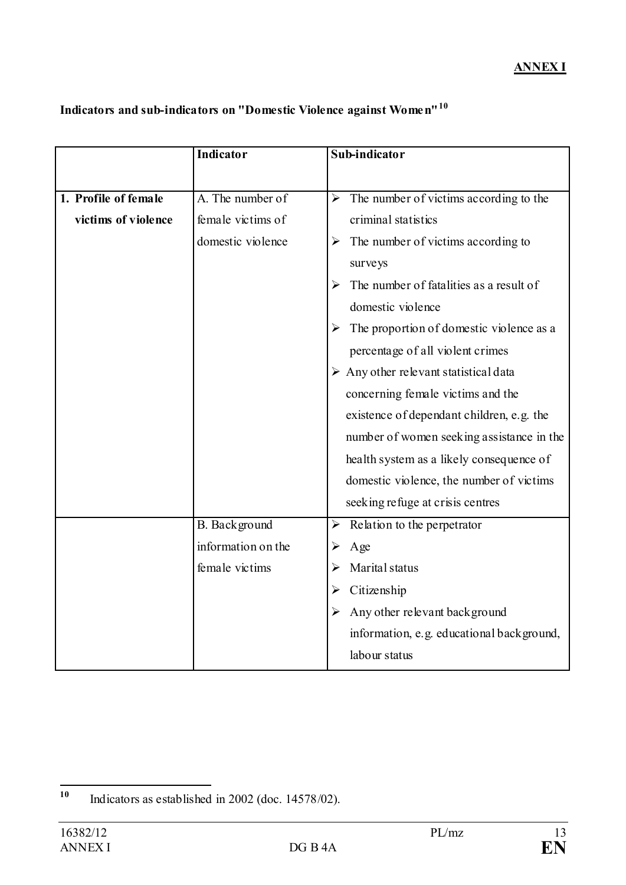# **Indicators and sub-indicators on "Domestic Violence against Women"[10](#page-12-0)**

|                      | Indicator          | Sub-indicator                                        |
|----------------------|--------------------|------------------------------------------------------|
|                      |                    |                                                      |
| 1. Profile of female | A. The number of   | The number of victims according to the<br>➤          |
| victims of violence  | female victims of  | criminal statistics                                  |
|                      | domestic violence  | The number of victims according to<br>➤              |
|                      |                    | surveys                                              |
|                      |                    | The number of fatalities as a result of<br>➤         |
|                      |                    | domestic violence                                    |
|                      |                    | The proportion of domestic violence as a             |
|                      |                    | percentage of all violent crimes                     |
|                      |                    | $\triangleright$ Any other relevant statistical data |
|                      |                    | concerning female victims and the                    |
|                      |                    | existence of dependant children, e.g. the            |
|                      |                    | number of women seeking assistance in the            |
|                      |                    | health system as a likely consequence of             |
|                      |                    | domestic violence, the number of victims             |
|                      |                    | seeking refuge at crisis centres                     |
|                      | B. Background      | Relation to the perpetrator<br>➤                     |
|                      | information on the | Age<br>➤                                             |
|                      | female victims     | Marital status                                       |
|                      |                    | Citizenship<br>➤                                     |
|                      |                    | Any other relevant background                        |
|                      |                    | information, e.g. educational background,            |
|                      |                    | labour status                                        |

<span id="page-12-0"></span>**<sup>10</sup>** Indicators as established in 2002 (doc. 14578/02).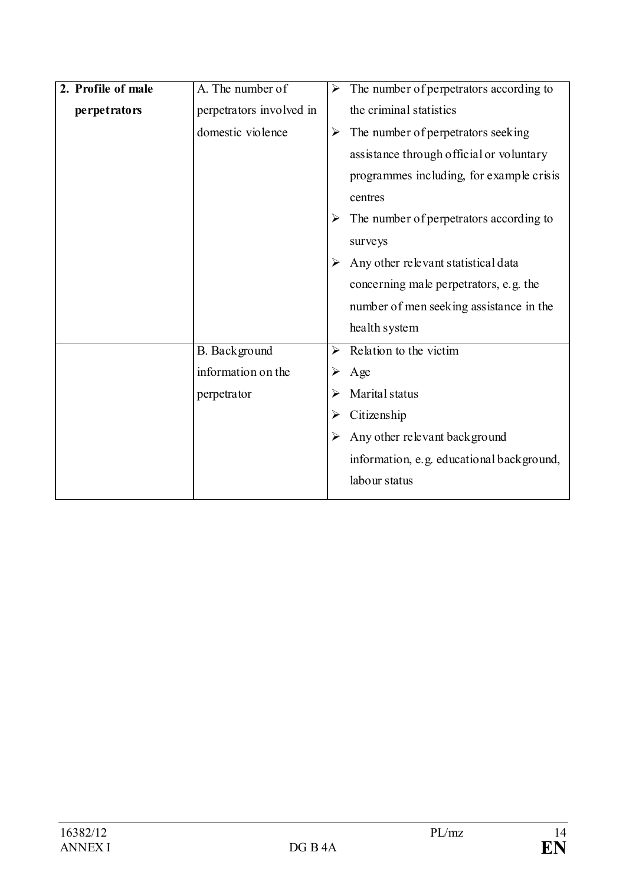| 2. Profile of male | A. The number of         | ➤ | The number of perpetrators according to   |
|--------------------|--------------------------|---|-------------------------------------------|
| perpetrators       | perpetrators involved in |   | the criminal statistics                   |
|                    | domestic violence        | ➤ | The number of perpetrators seeking        |
|                    |                          |   | assistance through official or voluntary  |
|                    |                          |   | programmes including, for example crisis  |
|                    |                          |   | centres                                   |
|                    |                          |   | The number of perpetrators according to   |
|                    |                          |   | surveys                                   |
|                    |                          |   | Any other relevant statistical data       |
|                    |                          |   | concerning male perpetrators, e.g. the    |
|                    |                          |   | number of men seeking assistance in the   |
|                    |                          |   | health system                             |
|                    | B. Background            | ➤ | Relation to the victim                    |
|                    | information on the       |   | Age                                       |
|                    | perpetrator              |   | Marital status                            |
|                    |                          | ➤ | Citizenship                               |
|                    |                          |   | Any other relevant background             |
|                    |                          |   | information, e.g. educational background, |
|                    |                          |   | labour status                             |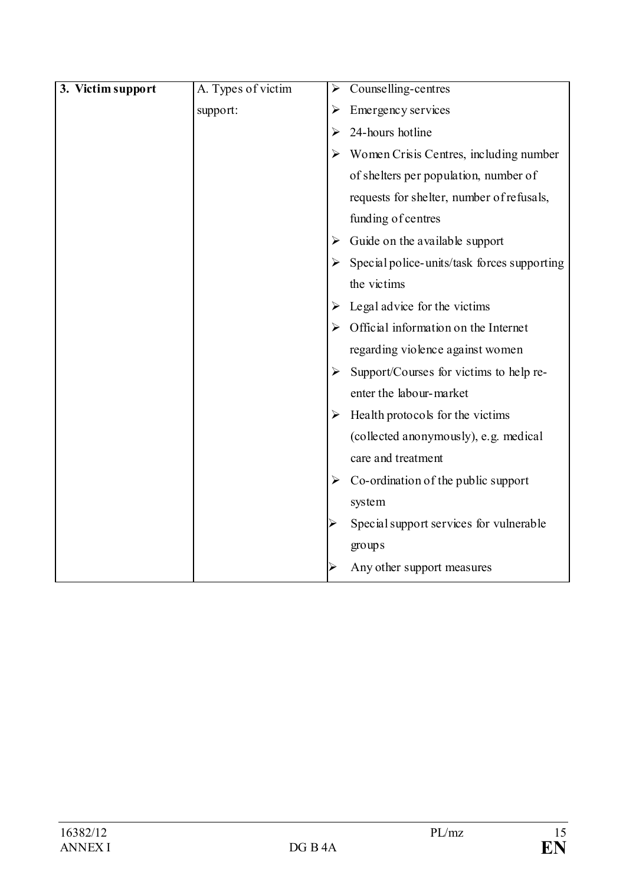| 3. Victim support | A. Types of victim | ➤ | Counselling-centres                         |
|-------------------|--------------------|---|---------------------------------------------|
|                   | support:           | ➤ | Emergency services                          |
|                   |                    | ➤ | 24-hours hotline                            |
|                   |                    | ➤ | Women Crisis Centres, including number      |
|                   |                    |   | of shelters per population, number of       |
|                   |                    |   | requests for shelter, number of refusals,   |
|                   |                    |   | funding of centres                          |
|                   |                    | ➤ | Guide on the available support              |
|                   |                    |   | Special police-units/task forces supporting |
|                   |                    |   | the victims                                 |
|                   |                    | ➤ | Legal advice for the victims                |
|                   |                    |   | Official information on the Internet        |
|                   |                    |   | regarding violence against women            |
|                   |                    | ➤ | Support/Courses for victims to help re-     |
|                   |                    |   | enter the labour-market                     |
|                   |                    | ➤ | Health protocols for the victims            |
|                   |                    |   | (collected anonymously), e.g. medical       |
|                   |                    |   | care and treatment                          |
|                   |                    | ➤ | Co-ordination of the public support         |
|                   |                    |   | system                                      |
|                   |                    |   | Special support services for vulnerable     |
|                   |                    |   | groups                                      |
|                   |                    |   | Any other support measures                  |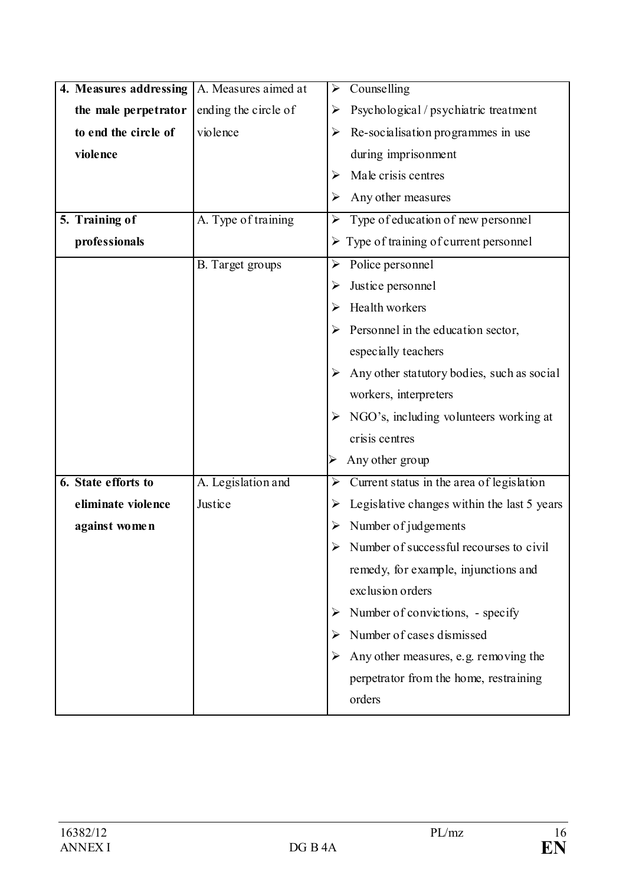| 4. Measures addressing | A. Measures aimed at | Counselling<br>➤                                            |
|------------------------|----------------------|-------------------------------------------------------------|
| the male perpetrator   | ending the circle of | Psychological / psychiatric treatment<br>➤                  |
| to end the circle of   | violence             | Re-socialisation programmes in use<br>➤                     |
| violence               |                      | during imprisonment                                         |
|                        |                      | Male crisis centres                                         |
|                        |                      | Any other measures                                          |
| 5. Training of         | A. Type of training  | Type of education of new personnel<br>$\blacktriangleright$ |
| professionals          |                      | $\triangleright$ Type of training of current personnel      |
|                        | B. Target groups     | Police personnel<br>➤                                       |
|                        |                      | Justice personnel<br>➤                                      |
|                        |                      | Health workers                                              |
|                        |                      | Personnel in the education sector,                          |
|                        |                      | especially teachers                                         |
|                        |                      | Any other statutory bodies, such as social                  |
|                        |                      | workers, interpreters                                       |
|                        |                      | NGO's, including volunteers working at                      |
|                        |                      | crisis centres                                              |
|                        |                      | Any other group                                             |
| 6. State efforts to    | A. Legislation and   | Current status in the area of legislation<br>➤              |
| eliminate violence     | Justice              | Legislative changes within the last 5 years<br>➤            |
| against women          |                      | Number of judgements                                        |
|                        |                      | Number of successful recourses to civil                     |
|                        |                      | remedy, for example, injunctions and                        |
|                        |                      | exclusion orders                                            |
|                        |                      | Number of convictions, - specify<br>➤                       |
|                        |                      | Number of cases dismissed<br>➤                              |
|                        |                      | Any other measures, e.g. removing the<br>➤                  |
|                        |                      | perpetrator from the home, restraining                      |
|                        |                      | orders                                                      |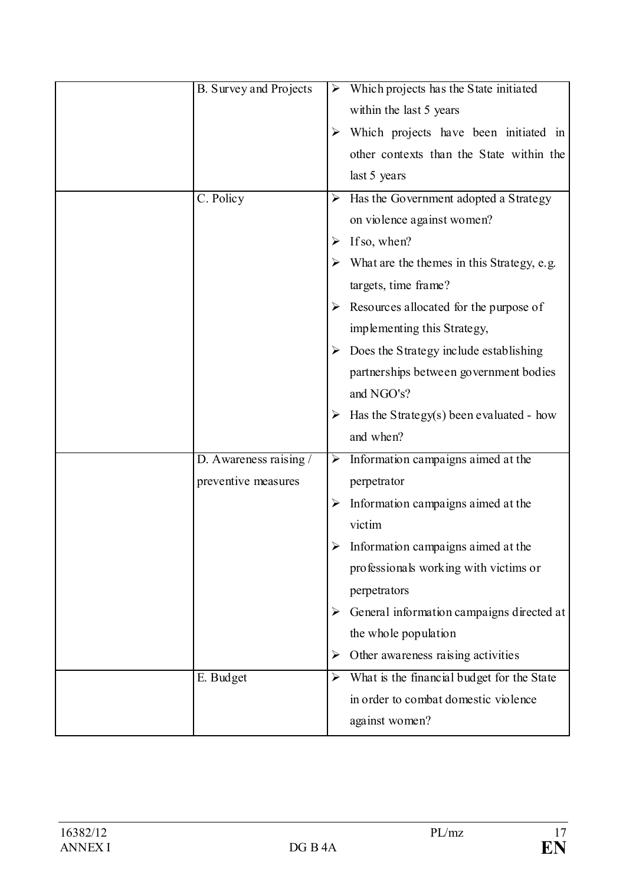| <b>B.</b> Survey and Projects |   | Which projects has the State initiated     |
|-------------------------------|---|--------------------------------------------|
|                               |   | within the last 5 years                    |
|                               |   | Which projects have been initiated in      |
|                               |   | other contexts than the State within the   |
|                               |   | last 5 years                               |
| C. Policy                     | ➤ | Has the Government adopted a Strategy      |
|                               |   | on violence against women?                 |
|                               | ⋗ | If so, when?                               |
|                               |   | What are the themes in this Strategy, e.g. |
|                               |   | targets, time frame?                       |
|                               |   | Resources allocated for the purpose of     |
|                               |   | implementing this Strategy,                |
|                               |   | Does the Strategy include establishing     |
|                               |   | partnerships between government bodies     |
|                               |   | and NGO's?                                 |
|                               |   | Has the Strategy(s) been evaluated - how   |
|                               |   | and when?                                  |
| D. Awareness raising /        | ➤ | Information campaigns aimed at the         |
| preventive measures           |   | perpetrator                                |
|                               |   | Information campaigns aimed at the         |
|                               |   | victim                                     |
|                               |   | Information campaigns aimed at the         |
|                               |   | professionals working with victims or      |
|                               |   | perpetrators                               |
|                               |   | General information campaigns directed at  |
|                               |   | the whole population                       |
|                               | ➤ | Other awareness raising activities         |
| E. Budget                     | ➤ | What is the financial budget for the State |
|                               |   | in order to combat domestic violence       |
|                               |   | against women?                             |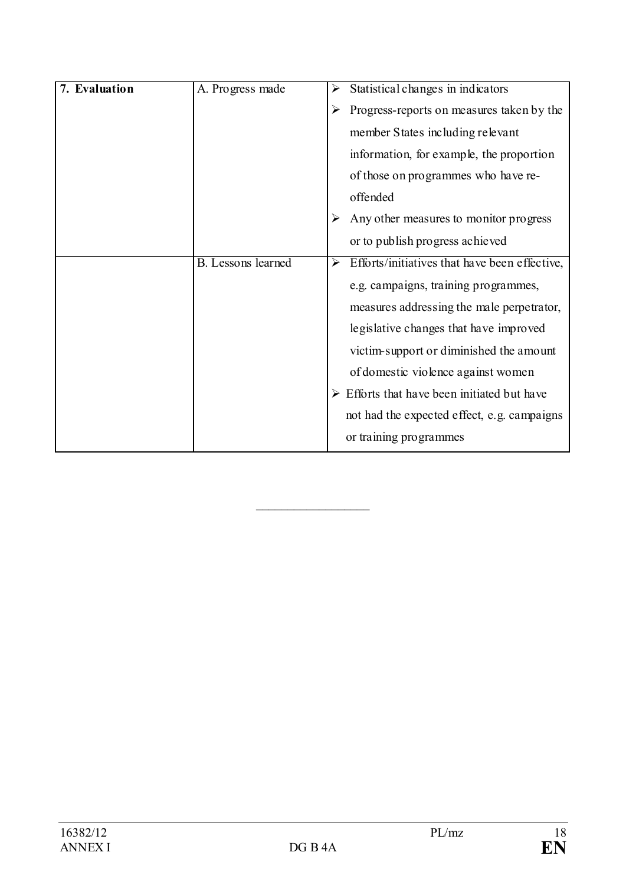| 7. Evaluation | A. Progress made          | Statistical changes in indicators<br>➤                                 |
|---------------|---------------------------|------------------------------------------------------------------------|
|               |                           | Progress-reports on measures taken by the<br>➤                         |
|               |                           | member States including relevant                                       |
|               |                           | information, for example, the proportion                               |
|               |                           | of those on programmes who have re-                                    |
|               |                           | offended                                                               |
|               |                           | Any other measures to monitor progress                                 |
|               |                           | or to publish progress achieved                                        |
|               | <b>B.</b> Lessons learned | Efforts/initiatives that have been effective,<br>$\blacktriangleright$ |
|               |                           | e.g. campaigns, training programmes,                                   |
|               |                           | measures addressing the male perpetrator,                              |
|               |                           | legislative changes that have improved                                 |
|               |                           | victim-support or diminished the amount                                |
|               |                           | of domestic violence against women                                     |
|               |                           | Efforts that have been initiated but have                              |
|               |                           | not had the expected effect, e.g. campaigns                            |
|               |                           | or training programmes                                                 |

\_\_\_\_\_\_\_\_\_\_\_\_\_\_\_\_\_\_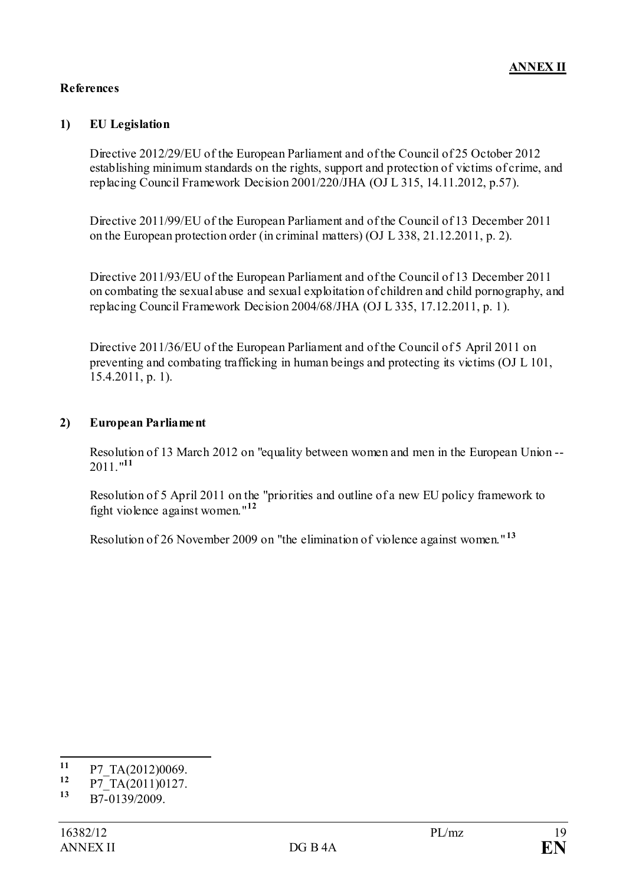### **References**

### **1) EU Legislation**

Directive 2012/29/EU of the European Parliament and of the Council of 25 October 2012 establishing minimum standards on the rights, support and protection of victims of crime, and replacing Council Framework Decision 2001/220/JHA (OJ L 315, 14.11.2012, p.57).

Directive 2011/99/EU of the European Parliament and of the Council of 13 December 2011 on the European protection order (in criminal matters) (OJ L 338, 21.12.2011, p. 2).

Directive 2011/93/EU of the European Parliament and of the Council of 13 December 2011 on combating the sexual abuse and sexual exploitation of children and child pornography, and replacing Council Framework Decision 2004/68/JHA (OJ L 335, 17.12.2011, p. 1).

Directive 2011/36/EU of the European Parliament and of the Council of 5 April 2011 on preventing and combating trafficking in human beings and protecting its victims (OJ L 101, 15.4.2011, p. 1).

### **2) European Parliament**

Resolution of 13 March 2012 on "equality between women and men in the European Union -- 2011."**[11](#page-18-0)**

Resolution of 5 April 2011 on the "priorities and outline of a new EU policy framework to fight violence against women."**[12](#page-18-1)**

Resolution of 26 November 2009 on "the elimination of violence against women." **[13](#page-18-2)**

<span id="page-18-0"></span> $\frac{11}{12}$  P7\_TA(2012)0069.

<span id="page-18-1"></span> $\frac{12}{13}$  P7\_TA(2011)0127.

<span id="page-18-2"></span>**<sup>13</sup>** B7-0139/2009.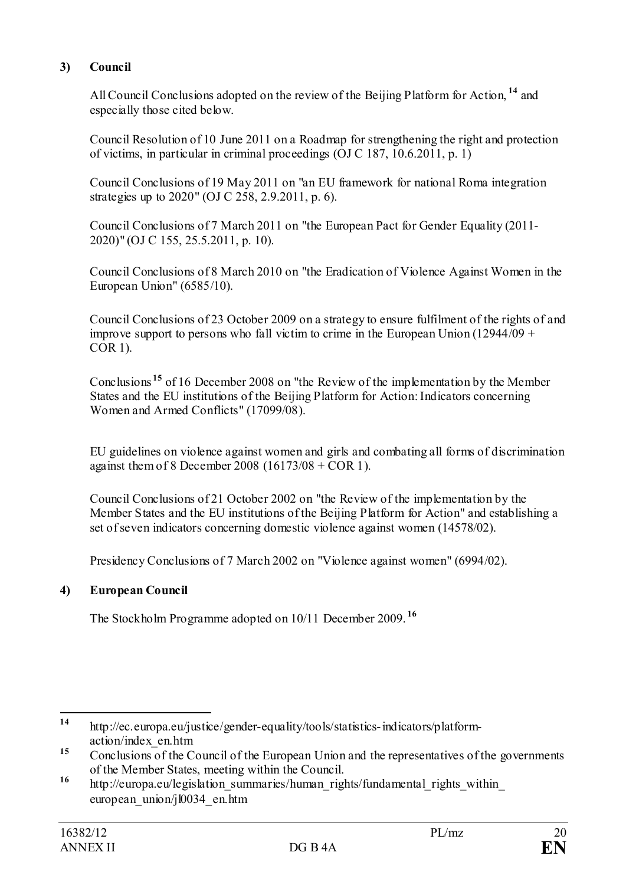# **3) Council**

All Council Conclusions adopted on the review of the Beijing Platform for Action, **[14](#page-19-0)** and especially those cited below.

Council Resolution of 10 June 2011 on a Roadmap for strengthening the right and protection of victims, in particular in criminal proceedings (OJ C 187, 10.6.2011, p. 1)

Council Conclusions of 19 May 2011 on "an EU framework for national Roma integration strategies up to 2020" (OJ C 258, 2.9.2011, p. 6).

Council Conclusions of 7 March 2011 on "the European Pact for Gender Equality (2011- 2020)" (OJ C 155, 25.5.2011, p. 10).

Council Conclusions of 8 March 2010 on "the Eradication of Violence Against Women in the European Union" (6585/10).

Council Conclusions of 23 October 2009 on a strategy to ensure fulfilment of the rights of and improve support to persons who fall victim to crime in the European Union (12944/09 + COR 1).

Conclusions **[15](#page-19-1)** of 16 December 2008 on "the Review of the implementation by the Member States and the EU institutions of the Beijing Platform for Action: Indicators concerning Women and Armed Conflicts" (17099/08).

EU guidelines on violence against women and girls and combating all forms of discrimination against them of 8 December 2008 (16173/08 + COR 1).

Council Conclusions of 21 October 2002 on "the Review of the implementation by the Member States and the EU institutions of the Beijing Platform for Action" and establishing a set of seven indicators concerning domestic violence against women (14578/02).

Presidency Conclusions of 7 March 2002 on "Violence against women" (6994/02).

## **4) European Council**

The Stockholm Programme adopted on 10/11 December 2009. **[16](#page-19-2)**

<span id="page-19-0"></span>**<sup>14</sup>** http://ec.europa.eu/justice/gender-equality/tools/statistics-indicators/platformaction/index\_en.htm

<span id="page-19-1"></span><sup>&</sup>lt;sup>15</sup> Conclusions of the Council of the European Union and the representatives of the governments of the Member States, meeting within the Council.

<span id="page-19-2"></span><sup>&</sup>lt;sup>16</sup> http://europa.eu/legislation\_summaries/human\_rights/fundamental\_rights\_within european\_union/jl0034\_en.htm